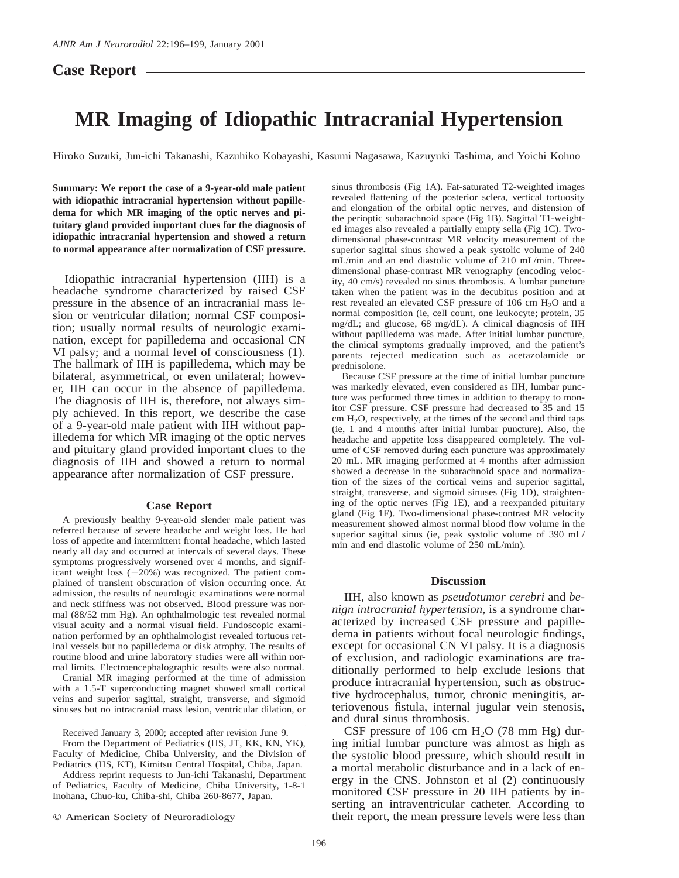## **Case Report**

# **MR Imaging of Idiopathic Intracranial Hypertension**

Hiroko Suzuki, Jun-ichi Takanashi, Kazuhiko Kobayashi, Kasumi Nagasawa, Kazuyuki Tashima, and Yoichi Kohno

**Summary: We report the case of a 9-year-old male patient with idiopathic intracranial hypertension without papilledema for which MR imaging of the optic nerves and pituitary gland provided important clues for the diagnosis of idiopathic intracranial hypertension and showed a return to normal appearance after normalization of CSF pressure.**

Idiopathic intracranial hypertension (IIH) is a headache syndrome characterized by raised CSF pressure in the absence of an intracranial mass lesion or ventricular dilation; normal CSF composition; usually normal results of neurologic examination, except for papilledema and occasional CN VI palsy; and a normal level of consciousness (1). The hallmark of IIH is papilledema, which may be bilateral, asymmetrical, or even unilateral; however, IIH can occur in the absence of papilledema. The diagnosis of IIH is, therefore, not always simply achieved. In this report, we describe the case of a 9-year-old male patient with IIH without papilledema for which MR imaging of the optic nerves and pituitary gland provided important clues to the diagnosis of IIH and showed a return to normal appearance after normalization of CSF pressure.

#### **Case Report**

A previously healthy 9-year-old slender male patient was referred because of severe headache and weight loss. He had loss of appetite and intermittent frontal headache, which lasted nearly all day and occurred at intervals of several days. These symptoms progressively worsened over 4 months, and significant weight loss  $(-20%)$  was recognized. The patient complained of transient obscuration of vision occurring once. At admission, the results of neurologic examinations were normal and neck stiffness was not observed. Blood pressure was normal (88/52 mm Hg). An ophthalmologic test revealed normal visual acuity and a normal visual field. Fundoscopic examination performed by an ophthalmologist revealed tortuous retinal vessels but no papilledema or disk atrophy. The results of routine blood and urine laboratory studies were all within normal limits. Electroencephalographic results were also normal.

Cranial MR imaging performed at the time of admission with a 1.5-T superconducting magnet showed small cortical veins and superior sagittal, straight, transverse, and sigmoid sinuses but no intracranial mass lesion, ventricular dilation, or sinus thrombosis (Fig 1A). Fat-saturated T2-weighted images revealed flattening of the posterior sclera, vertical tortuosity and elongation of the orbital optic nerves, and distension of the perioptic subarachnoid space (Fig 1B). Sagittal T1-weighted images also revealed a partially empty sella (Fig 1C). Twodimensional phase-contrast MR velocity measurement of the superior sagittal sinus showed a peak systolic volume of 240 mL/min and an end diastolic volume of 210 mL/min. Threedimensional phase-contrast MR venography (encoding velocity, 40 cm/s) revealed no sinus thrombosis. A lumbar puncture taken when the patient was in the decubitus position and at rest revealed an elevated CSF pressure of 106 cm H<sub>2</sub>O and a normal composition (ie, cell count, one leukocyte; protein, 35 mg/dL; and glucose, 68 mg/dL). A clinical diagnosis of IIH without papilledema was made. After initial lumbar puncture, the clinical symptoms gradually improved, and the patient's parents rejected medication such as acetazolamide or prednisolone.

Because CSF pressure at the time of initial lumbar puncture was markedly elevated, even considered as IIH, lumbar puncture was performed three times in addition to therapy to monitor CSF pressure. CSF pressure had decreased to 35 and 15  $cm H<sub>2</sub>O$ , respectively, at the times of the second and third taps (ie, 1 and 4 months after initial lumbar puncture). Also, the headache and appetite loss disappeared completely. The volume of CSF removed during each puncture was approximately 20 mL. MR imaging performed at 4 months after admission showed a decrease in the subarachnoid space and normalization of the sizes of the cortical veins and superior sagittal, straight, transverse, and sigmoid sinuses (Fig 1D), straightening of the optic nerves (Fig 1E), and a reexpanded pituitary gland (Fig 1F). Two-dimensional phase-contrast MR velocity measurement showed almost normal blood flow volume in the superior sagittal sinus (ie, peak systolic volume of 390 mL/ min and end diastolic volume of 250 mL/min).

#### **Discussion**

IIH, also known as *pseudotumor cerebri* and *benign intracranial hypertension,* is a syndrome characterized by increased CSF pressure and papilledema in patients without focal neurologic findings, except for occasional CN VI palsy. It is a diagnosis of exclusion, and radiologic examinations are traditionally performed to help exclude lesions that produce intracranial hypertension, such as obstructive hydrocephalus, tumor, chronic meningitis, arteriovenous fistula, internal jugular vein stenosis, and dural sinus thrombosis.

CSF pressure of 106 cm  $H<sub>2</sub>O$  (78 mm Hg) during initial lumbar puncture was almost as high as the systolic blood pressure, which should result in a mortal metabolic disturbance and in a lack of energy in the CNS. Johnston et al (2) continuously monitored CSF pressure in 20 IIH patients by inserting an intraventricular catheter. According to their report, the mean pressure levels were less than

Received January 3, 2000; accepted after revision June 9.

From the Department of Pediatrics (HS, JT, KK, KN, YK), Faculty of Medicine, Chiba University, and the Division of Pediatrics (HS, KT), Kimitsu Central Hospital, Chiba, Japan.

Address reprint requests to Jun-ichi Takanashi, Department of Pediatrics, Faculty of Medicine, Chiba University, 1-8-1 Inohana, Chuo-ku, Chiba-shi, Chiba 260-8677, Japan.

 $©$  American Society of Neuroradiology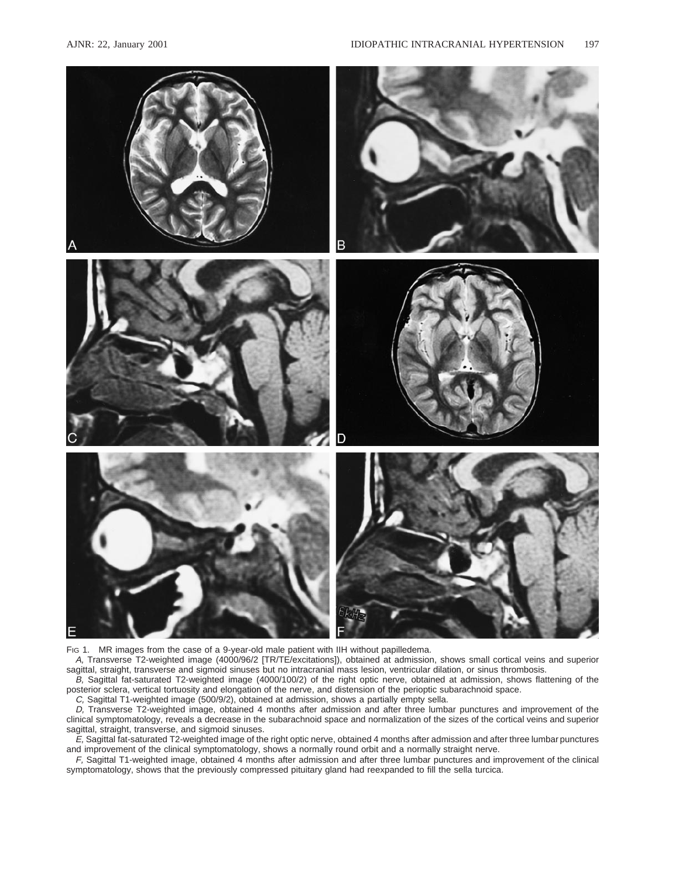

FIG 1. MR images from the case of a 9-year-old male patient with IIH without papilledema.

A, Transverse T2-weighted image (4000/96/2 [TR/TE/excitations]), obtained at admission, shows small cortical veins and superior sagittal, straight, transverse and sigmoid sinuses but no intracranial mass lesion, ventricular dilation, or sinus thrombosis.

B, Sagittal fat-saturated T2-weighted image (4000/100/2) of the right optic nerve, obtained at admission, shows flattening of the posterior sclera, vertical tortuosity and elongation of the nerve, and distension of the perioptic subarachnoid space.

C, Sagittal T1-weighted image (500/9/2), obtained at admission, shows a partially empty sella.

D, Transverse T2-weighted image, obtained 4 months after admission and after three lumbar punctures and improvement of the clinical symptomatology, reveals a decrease in the subarachnoid space and normalization of the sizes of the cortical veins and superior sagittal, straight, transverse, and sigmoid sinuses.

E, Sagittal fat-saturated T2-weighted image of the right optic nerve, obtained 4 months after admission and after three lumbar punctures and improvement of the clinical symptomatology, shows a normally round orbit and a normally straight nerve.

F, Sagittal T1-weighted image, obtained 4 months after admission and after three lumbar punctures and improvement of the clinical symptomatology, shows that the previously compressed pituitary gland had reexpanded to fill the sella turcica.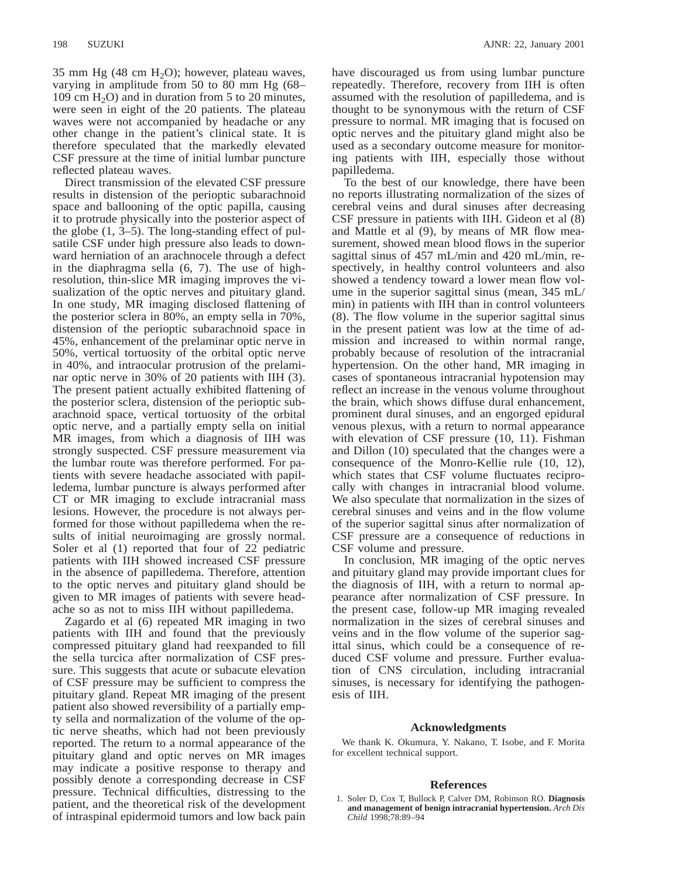35 mm Hg  $(48 \text{ cm H}_2O)$ ; however, plateau waves, varying in amplitude from 50 to 80 mm Hg (68– 109 cm  $H_2O$ ) and in duration from 5 to 20 minutes, were seen in eight of the 20 patients. The plateau waves were not accompanied by headache or any other change in the patient's clinical state. It is therefore speculated that the markedly elevated CSF pressure at the time of initial lumbar puncture reflected plateau waves.

Direct transmission of the elevated CSF pressure results in distension of the perioptic subarachnoid space and ballooning of the optic papilla, causing it to protrude physically into the posterior aspect of the globe (1, 3–5). The long-standing effect of pulsatile CSF under high pressure also leads to downward herniation of an arachnocele through a defect in the diaphragma sella (6, 7). The use of highresolution, thin-slice MR imaging improves the visualization of the optic nerves and pituitary gland. In one study, MR imaging disclosed flattening of the posterior sclera in 80%, an empty sella in 70%, distension of the perioptic subarachnoid space in 45%, enhancement of the prelaminar optic nerve in 50%, vertical tortuosity of the orbital optic nerve in 40%, and intraocular protrusion of the prelaminar optic nerve in 30% of 20 patients with IIH (3). The present patient actually exhibited flattening of the posterior sclera, distension of the perioptic subarachnoid space, vertical tortuosity of the orbital optic nerve, and a partially empty sella on initial MR images, from which a diagnosis of IIH was strongly suspected. CSF pressure measurement via the lumbar route was therefore performed. For patients with severe headache associated with papilledema, lumbar puncture is always performed after CT or MR imaging to exclude intracranial mass lesions. However, the procedure is not always performed for those without papilledema when the results of initial neuroimaging are grossly normal. Soler et al (1) reported that four of 22 pediatric patients with IIH showed increased CSF pressure in the absence of papilledema. Therefore, attention to the optic nerves and pituitary gland should be given to MR images of patients with severe headache so as not to miss IIH without papilledema.

Zagardo et al (6) repeated MR imaging in two patients with IIH and found that the previously compressed pituitary gland had reexpanded to fill the sella turcica after normalization of CSF pressure. This suggests that acute or subacute elevation of CSF pressure may be sufficient to compress the pituitary gland. Repeat MR imaging of the present patient also showed reversibility of a partially empty sella and normalization of the volume of the optic nerve sheaths, which had not been previously reported. The return to a normal appearance of the pituitary gland and optic nerves on MR images may indicate a positive response to therapy and possibly denote a corresponding decrease in CSF pressure. Technical difficulties, distressing to the patient, and the theoretical risk of the development of intraspinal epidermoid tumors and low back pain have discouraged us from using lumbar puncture repeatedly. Therefore, recovery from IIH is often assumed with the resolution of papilledema, and is thought to be synonymous with the return of CSF pressure to normal. MR imaging that is focused on optic nerves and the pituitary gland might also be used as a secondary outcome measure for monitoring patients with IIH, especially those without papilledema.

To the best of our knowledge, there have been no reports illustrating normalization of the sizes of cerebral veins and dural sinuses after decreasing CSF pressure in patients with IIH. Gideon et al (8) and Mattle et al (9), by means of MR flow measurement, showed mean blood flows in the superior sagittal sinus of 457 mL/min and 420 mL/min, respectively, in healthy control volunteers and also showed a tendency toward a lower mean flow volume in the superior sagittal sinus (mean, 345 mL/ min) in patients with IIH than in control volunteers (8). The flow volume in the superior sagittal sinus in the present patient was low at the time of admission and increased to within normal range, probably because of resolution of the intracranial hypertension. On the other hand, MR imaging in cases of spontaneous intracranial hypotension may reflect an increase in the venous volume throughout the brain, which shows diffuse dural enhancement, prominent dural sinuses, and an engorged epidural venous plexus, with a return to normal appearance with elevation of CSF pressure (10, 11). Fishman and Dillon (10) speculated that the changes were a consequence of the Monro-Kellie rule (10, 12), which states that CSF volume fluctuates reciprocally with changes in intracranial blood volume. We also speculate that normalization in the sizes of cerebral sinuses and veins and in the flow volume of the superior sagittal sinus after normalization of CSF pressure are a consequence of reductions in CSF volume and pressure.

In conclusion, MR imaging of the optic nerves and pituitary gland may provide important clues for the diagnosis of IIH, with a return to normal appearance after normalization of CSF pressure. In the present case, follow-up MR imaging revealed normalization in the sizes of cerebral sinuses and veins and in the flow volume of the superior sagittal sinus, which could be a consequence of reduced CSF volume and pressure. Further evaluation of CNS circulation, including intracranial sinuses, is necessary for identifying the pathogenesis of IIH.

#### **Acknowledgments**

We thank K. Okumura, Y. Nakano, T. Isobe, and F. Morita for excellent technical support.

### **References**

1. Soler D, Cox T, Bullock P, Calver DM, Robinson RO. **Diagnosis and management of benign intracranial hypertension.** *Arch Dis Child* 1998;78:89–94